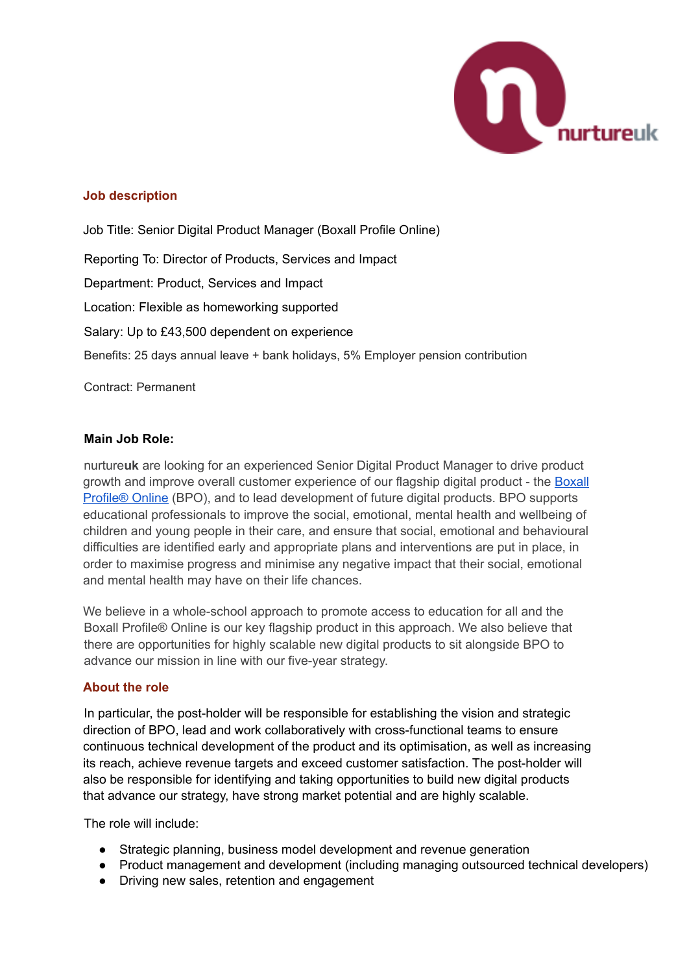

### **Job description**

Job Title: Senior Digital Product Manager (Boxall Profile Online) Reporting To: Director of Products, Services and Impact Department: Product, Services and Impact Location: Flexible as homeworking supported Salary: Up to £43,500 dependent on experience Benefits: 25 days annual leave + bank holidays, 5% Employer pension contribution

Contract: Permanent

#### **Main Job Role:**

nurture**uk** are looking for an experienced Senior Digital Product Manager to drive product growth and improve overall customer experience of our flagship digital product - the [Boxall](https://new.boxallprofile.org/) [Profile®](https://new.boxallprofile.org/) Online (BPO), and to lead development of future digital products. BPO supports educational professionals to improve the social, emotional, mental health and wellbeing of children and young people in their care, and ensure that social, emotional and behavioural difficulties are identified early and appropriate plans and interventions are put in place, in order to maximise progress and minimise any negative impact that their social, emotional and mental health may have on their life chances.

We believe in a whole-school approach to promote access to education for all and the Boxall Profile® Online is our key flagship product in this approach. We also believe that there are opportunities for highly scalable new digital products to sit alongside BPO to advance our mission in line with our five-year strategy.

#### **About the role**

In particular, the post-holder will be responsible for establishing the vision and strategic direction of BPO, lead and work collaboratively with cross-functional teams to ensure continuous technical development of the product and its optimisation, as well as increasing its reach, achieve revenue targets and exceed customer satisfaction. The post-holder will also be responsible for identifying and taking opportunities to build new digital products that advance our strategy, have strong market potential and are highly scalable.

The role will include:

- Strategic planning, business model development and revenue generation
- Product management and development (including managing outsourced technical developers)
- Driving new sales, retention and engagement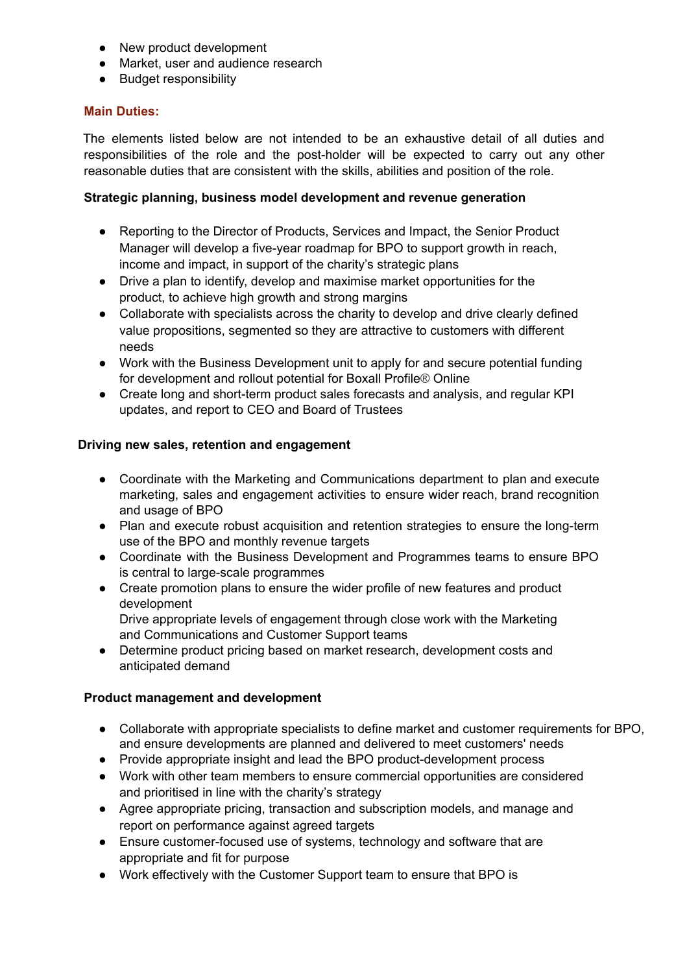- New product development
- Market, user and audience research
- Budget responsibility

### **Main Duties:**

The elements listed below are not intended to be an exhaustive detail of all duties and responsibilities of the role and the post-holder will be expected to carry out any other reasonable duties that are consistent with the skills, abilities and position of the role.

### **Strategic planning, business model development and revenue generation**

- Reporting to the Director of Products, Services and Impact, the Senior Product Manager will develop a five-year roadmap for BPO to support growth in reach, income and impact, in support of the charity's strategic plans
- Drive a plan to identify, develop and maximise market opportunities for the product, to achieve high growth and strong margins
- Collaborate with specialists across the charity to develop and drive clearly defined value propositions, segmented so they are attractive to customers with different needs
- Work with the Business Development unit to apply for and secure potential funding for development and rollout potential for Boxall Profile® Online
- Create long and short-term product sales forecasts and analysis, and regular KPI updates, and report to CEO and Board of Trustees

### **Driving new sales, retention and engagement**

- Coordinate with the Marketing and Communications department to plan and execute marketing, sales and engagement activities to ensure wider reach, brand recognition and usage of BPO
- Plan and execute robust acquisition and retention strategies to ensure the long-term use of the BPO and monthly revenue targets
- Coordinate with the Business Development and Programmes teams to ensure BPO is central to large-scale programmes
- Create promotion plans to ensure the wider profile of new features and product development Drive appropriate levels of engagement through close work with the Marketing and Communications and Customer Support teams
- Determine product pricing based on market research, development costs and anticipated demand

#### **Product management and development**

- Collaborate with appropriate specialists to define market and customer requirements for BPO. and ensure developments are planned and delivered to meet customers' needs
- Provide appropriate insight and lead the BPO product-development process
- Work with other team members to ensure commercial opportunities are considered and prioritised in line with the charity's strategy
- Agree appropriate pricing, transaction and subscription models, and manage and report on performance against agreed targets
- Ensure customer-focused use of systems, technology and software that are appropriate and fit for purpose
- Work effectively with the Customer Support team to ensure that BPO is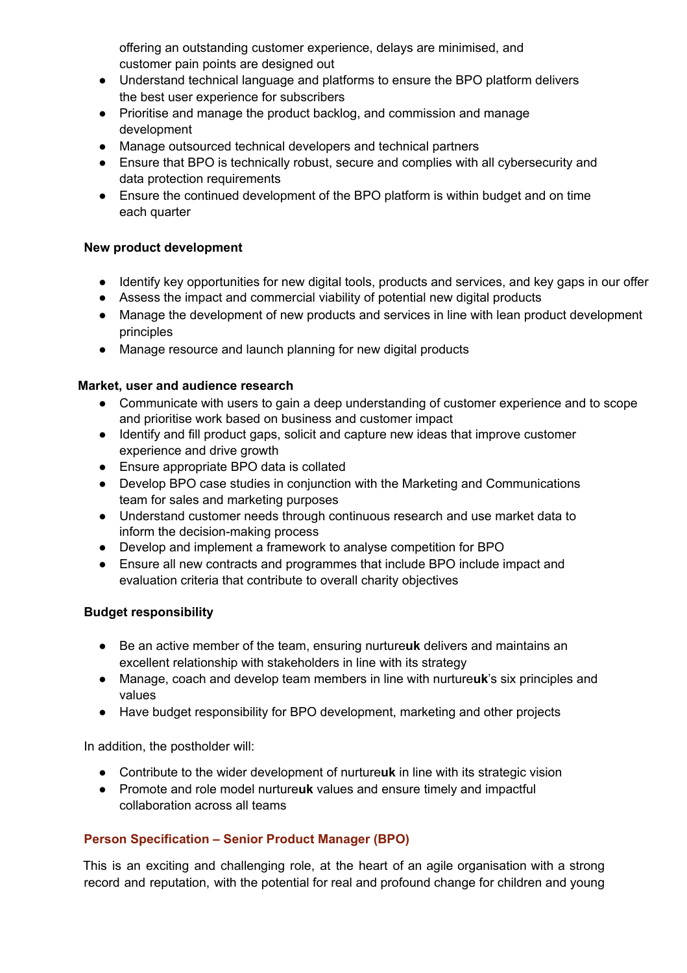offering an outstanding customer experience, delays are minimised, and customer pain points are designed out

- Understand technical language and platforms to ensure the BPO platform delivers the best user experience for subscribers
- Prioritise and manage the product backlog, and commission and manage development
- Manage outsourced technical developers and technical partners
- Ensure that BPO is technically robust, secure and complies with all cybersecurity and data protection requirements
- Ensure the continued development of the BPO platform is within budget and on time each quarter

## **New product development**

- Identify key opportunities for new digital tools, products and services, and key gaps in our offer
- Assess the impact and commercial viability of potential new digital products
- Manage the development of new products and services in line with lean product development principles
- Manage resource and launch planning for new digital products

### **Market, user and audience research**

- Communicate with users to gain a deep understanding of customer experience and to scope and prioritise work based on business and customer impact
- Identify and fill product gaps, solicit and capture new ideas that improve customer experience and drive growth
- Ensure appropriate BPO data is collated
- Develop BPO case studies in conjunction with the Marketing and Communications team for sales and marketing purposes
- Understand customer needs through continuous research and use market data to inform the decision-making process
- Develop and implement a framework to analyse competition for BPO
- Ensure all new contracts and programmes that include BPO include impact and evaluation criteria that contribute to overall charity objectives

## **Budget responsibility**

- Be an active member of the team, ensuring nurture**uk** delivers and maintains an excellent relationship with stakeholders in line with its strategy
- Manage, coach and develop team members in line with nurture**uk**'s six principles and values
- Have budget responsibility for BPO development, marketing and other projects

In addition, the postholder will:

- Contribute to the wider development of nurture**uk** in line with its strategic vision
- Promote and role model nurture**uk** values and ensure timely and impactful collaboration across all teams

## **Person Specification – Senior Product Manager (BPO)**

This is an exciting and challenging role, at the heart of an agile organisation with a strong record and reputation, with the potential for real and profound change for children and young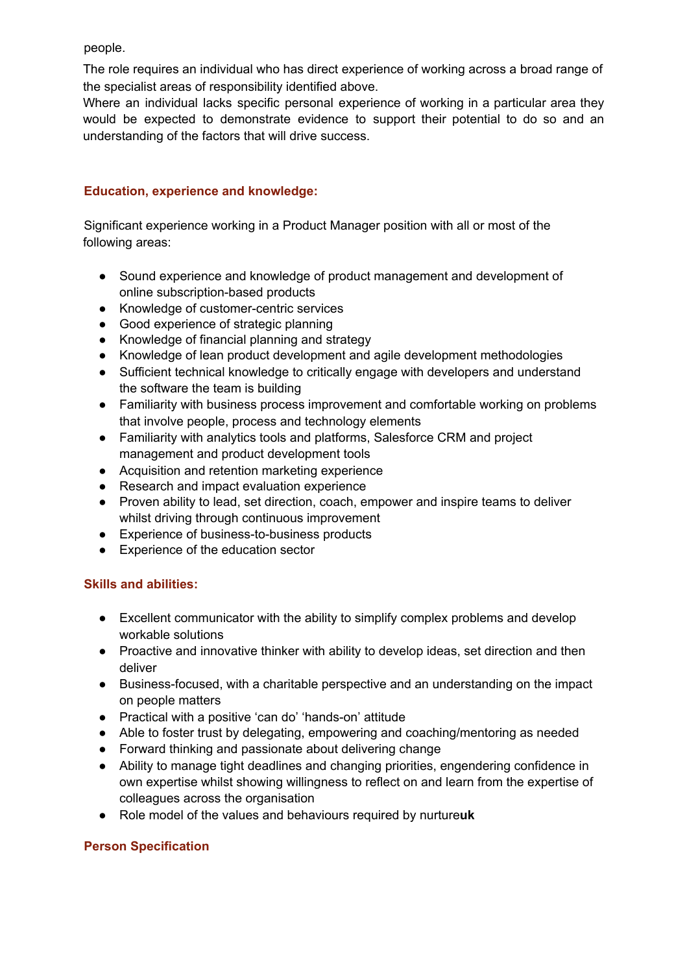people.

The role requires an individual who has direct experience of working across a broad range of the specialist areas of responsibility identified above.

Where an individual lacks specific personal experience of working in a particular area they would be expected to demonstrate evidence to support their potential to do so and an understanding of the factors that will drive success.

## **Education, experience and knowledge:**

Significant experience working in a Product Manager position with all or most of the following areas:

- Sound experience and knowledge of product management and development of online subscription-based products
- Knowledge of customer-centric services
- Good experience of strategic planning
- Knowledge of financial planning and strategy
- Knowledge of lean product development and agile development methodologies
- Sufficient technical knowledge to critically engage with developers and understand the software the team is building
- Familiarity with business process improvement and comfortable working on problems that involve people, process and technology elements
- Familiarity with analytics tools and platforms, Salesforce CRM and project management and product development tools
- Acquisition and retention marketing experience
- Research and impact evaluation experience
- Proven ability to lead, set direction, coach, empower and inspire teams to deliver whilst driving through continuous improvement
- Experience of business-to-business products
- Experience of the education sector

## **Skills and abilities:**

- Excellent communicator with the ability to simplify complex problems and develop workable solutions
- Proactive and innovative thinker with ability to develop ideas, set direction and then deliver
- Business-focused, with a charitable perspective and an understanding on the impact on people matters
- Practical with a positive 'can do' 'hands-on' attitude
- Able to foster trust by delegating, empowering and coaching/mentoring as needed
- Forward thinking and passionate about delivering change
- Ability to manage tight deadlines and changing priorities, engendering confidence in own expertise whilst showing willingness to reflect on and learn from the expertise of colleagues across the organisation
- Role model of the values and behaviours required by nurture**uk**

# **Person Specification**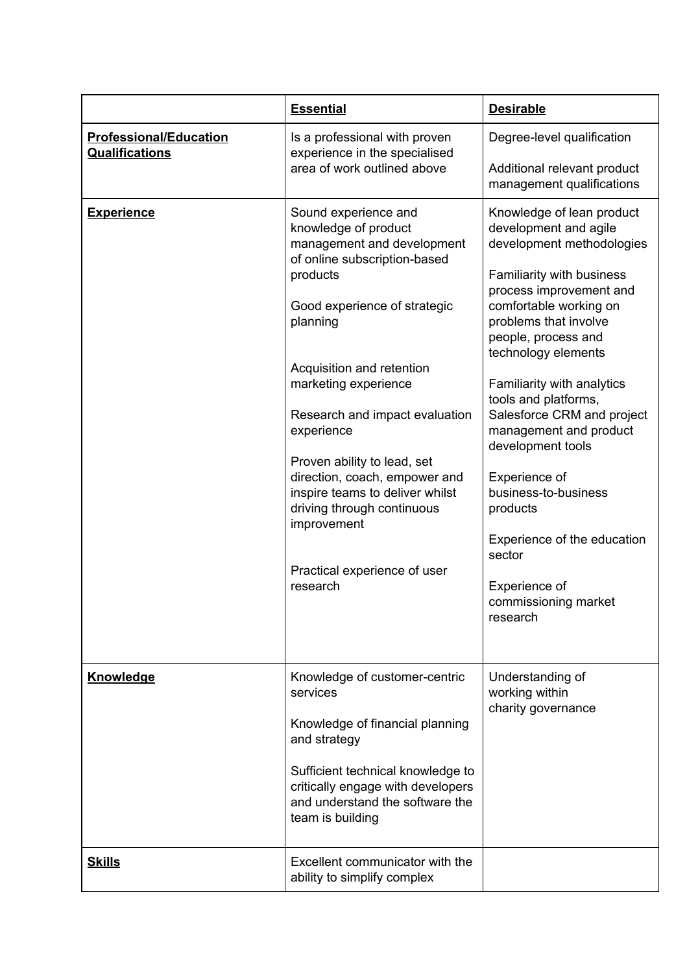|                                                        | <b>Essential</b>                                                                                                                                                                                                                                                                                                                                                                                                                                                    | <b>Desirable</b>                                                                                                                                                                                                                                                                                                                                                                                                                                                                                                               |
|--------------------------------------------------------|---------------------------------------------------------------------------------------------------------------------------------------------------------------------------------------------------------------------------------------------------------------------------------------------------------------------------------------------------------------------------------------------------------------------------------------------------------------------|--------------------------------------------------------------------------------------------------------------------------------------------------------------------------------------------------------------------------------------------------------------------------------------------------------------------------------------------------------------------------------------------------------------------------------------------------------------------------------------------------------------------------------|
| <b>Professional/Education</b><br><b>Qualifications</b> | Is a professional with proven<br>experience in the specialised<br>area of work outlined above                                                                                                                                                                                                                                                                                                                                                                       | Degree-level qualification<br>Additional relevant product<br>management qualifications                                                                                                                                                                                                                                                                                                                                                                                                                                         |
| <b>Experience</b>                                      | Sound experience and<br>knowledge of product<br>management and development<br>of online subscription-based<br>products<br>Good experience of strategic<br>planning<br>Acquisition and retention<br>marketing experience<br>Research and impact evaluation<br>experience<br>Proven ability to lead, set<br>direction, coach, empower and<br>inspire teams to deliver whilst<br>driving through continuous<br>improvement<br>Practical experience of user<br>research | Knowledge of lean product<br>development and agile<br>development methodologies<br>Familiarity with business<br>process improvement and<br>comfortable working on<br>problems that involve<br>people, process and<br>technology elements<br>Familiarity with analytics<br>tools and platforms,<br>Salesforce CRM and project<br>management and product<br>development tools<br>Experience of<br>business-to-business<br>products<br>Experience of the education<br>sector<br>Experience of<br>commissioning market<br>research |
| <b>Knowledge</b>                                       | Knowledge of customer-centric<br>services<br>Knowledge of financial planning<br>and strategy<br>Sufficient technical knowledge to<br>critically engage with developers<br>and understand the software the<br>team is building                                                                                                                                                                                                                                       | Understanding of<br>working within<br>charity governance                                                                                                                                                                                                                                                                                                                                                                                                                                                                       |
| <b>Skills</b>                                          | Excellent communicator with the<br>ability to simplify complex                                                                                                                                                                                                                                                                                                                                                                                                      |                                                                                                                                                                                                                                                                                                                                                                                                                                                                                                                                |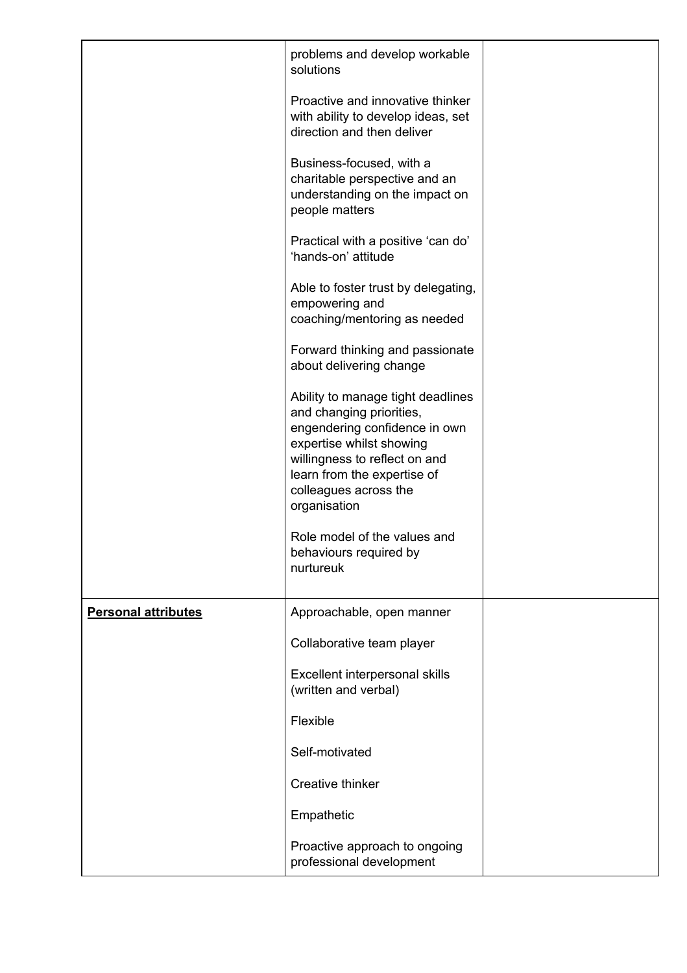|                            | problems and develop workable<br>solutions                                                                                                                                                                                          |  |
|----------------------------|-------------------------------------------------------------------------------------------------------------------------------------------------------------------------------------------------------------------------------------|--|
|                            | Proactive and innovative thinker<br>with ability to develop ideas, set<br>direction and then deliver                                                                                                                                |  |
|                            | Business-focused, with a<br>charitable perspective and an<br>understanding on the impact on<br>people matters                                                                                                                       |  |
|                            | Practical with a positive 'can do'<br>'hands-on' attitude                                                                                                                                                                           |  |
|                            | Able to foster trust by delegating,<br>empowering and<br>coaching/mentoring as needed                                                                                                                                               |  |
|                            | Forward thinking and passionate<br>about delivering change                                                                                                                                                                          |  |
|                            | Ability to manage tight deadlines<br>and changing priorities,<br>engendering confidence in own<br>expertise whilst showing<br>willingness to reflect on and<br>learn from the expertise of<br>colleagues across the<br>organisation |  |
|                            | Role model of the values and<br>behaviours required by<br>nurtureuk                                                                                                                                                                 |  |
| <b>Personal attributes</b> | Approachable, open manner                                                                                                                                                                                                           |  |
|                            | Collaborative team player                                                                                                                                                                                                           |  |
|                            | Excellent interpersonal skills<br>(written and verbal)                                                                                                                                                                              |  |
|                            | Flexible                                                                                                                                                                                                                            |  |
|                            | Self-motivated                                                                                                                                                                                                                      |  |
|                            | <b>Creative thinker</b>                                                                                                                                                                                                             |  |
|                            | Empathetic                                                                                                                                                                                                                          |  |
|                            | Proactive approach to ongoing<br>professional development                                                                                                                                                                           |  |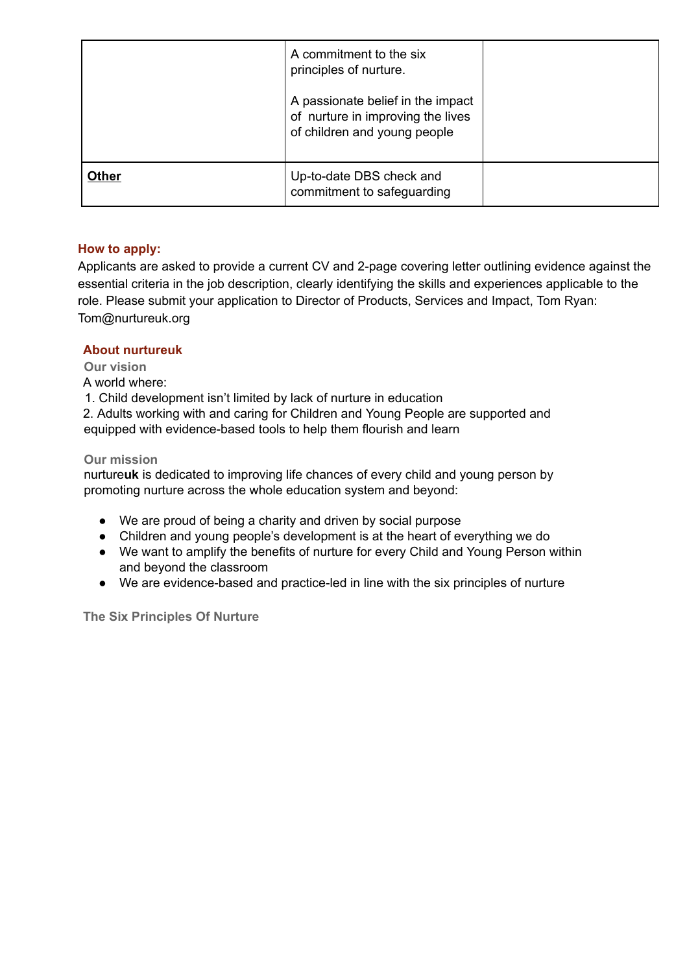|              | A commitment to the six<br>principles of nurture.                                                      |  |
|--------------|--------------------------------------------------------------------------------------------------------|--|
|              | A passionate belief in the impact<br>of nurture in improving the lives<br>of children and young people |  |
| <b>Other</b> | Up-to-date DBS check and<br>commitment to safeguarding                                                 |  |

## **How to apply:**

Applicants are asked to provide a current CV and 2-page covering letter outlining evidence against the essential criteria in the job description, clearly identifying the skills and experiences applicable to the role. Please submit your application to Director of Products, Services and Impact, Tom Ryan: Tom@nurtureuk.org

### **About nurtureuk**

**Our vision**

A world where:

1. Child development isn't limited by lack of nurture in education

2. Adults working with and caring for Children and Young People are supported and equipped with evidence-based tools to help them flourish and learn

#### **Our mission**

nurture**uk** is dedicated to improving life chances of every child and young person by promoting nurture across the whole education system and beyond:

- We are proud of being a charity and driven by social purpose
- Children and young people's development is at the heart of everything we do
- We want to amplify the benefits of nurture for every Child and Young Person within and beyond the classroom
- We are evidence-based and practice-led in line with the six principles of nurture

**The Six Principles Of Nurture**